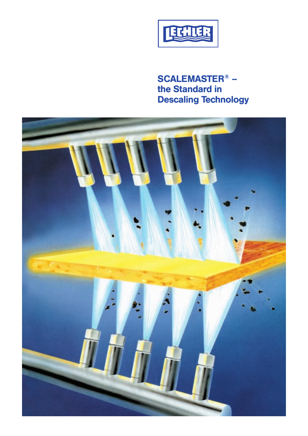

**SCALEMASTER® – the Standard in Descaling Technology**

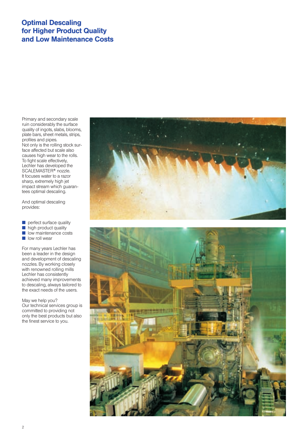# **Optimal Descaling for Higher Product Quality and Low Maintenance Costs**

Primary and secondary scale ruin considerably the surface quality of ingots, slabs, blooms, plate bars, sheet metals, strips, profiles and pipes. Not only is the rolling stock surface affected but scale also causes high wear to the rolls. To fight scale effectively, Lechler has developed the SCALEMASTER<sup>®</sup> nozzle. It focuses water to a razor sharp, extremely high jet impact stream which guarantees optimal descaling.

And optimal descaling provides:

 $\blacksquare$  perfect surface quality

- $\blacksquare$  high product quality
- $\blacksquare$  low maintenance costs
- $\blacksquare$  low roll wear

For many years Lechler has been a leader in the design and development of descaling nozzles. By working closely with renowned rolling mills Lechler has consistently achieved many improvements to descaling, always tailored to the exact needs of the users.

May we help you?

Our technical services group is committed to providing not only the best products but also the finest service to you.



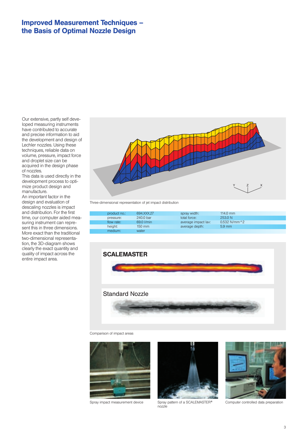## **Improved Measurement Techniques – the Basis of Optimal Nozzle Design**

Our extensive, partly self developed measuring instruments have contributed to accurate and precise information to aid the development and design of Lechler nozzles. Using these techniques, reliable data on volume, pressure, impact force and droplet size can be acquired in the design phase of nozzles.

This data is used directly in the development process to optimize product design and manufacture.

An important factor in the design and evaluation of descaling nozzles is impact and distribution. For the first time, our computer aided measuring instrument can represent this in three dimensions. More exact than the traditional two-dimensional representation, the 3D-diagram shows clearly the exact quantity and quality of impact across the entire impact area.



Three-dimensional representation of jet impact distribution

| product no.: | 694.XXX.27       | spray width:        | 114.0 mm              |  |
|--------------|------------------|---------------------|-----------------------|--|
| pressure:    | 240.0 bar        | total force:        | 253.0 N               |  |
| flow rate:   | 69.0 I/min       | average impact lav: | $0.532$ N/mm $^{4}$ 2 |  |
| height:      | $150 \text{ mm}$ | average depth:      | $5.9 \text{ mm}$      |  |
| medium:      | water            |                     |                       |  |



Comparison of impact areas





Spray impact measurement device Spray pattern of a SCALEMASTER<sup>®</sup> nozzle



Computer controlled data preparation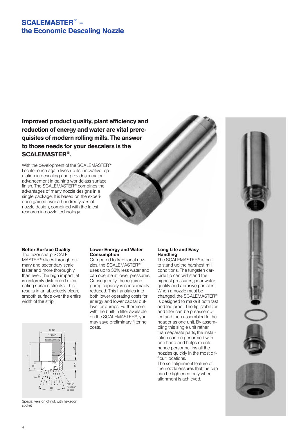## **SCALEMASTER® – the Economic Descaling Nozzle**

**Improved product quality, plant efficiency and reduction of energy and water are vital prere quisites of modern rolling mills. The answer to those needs for your descalers is the SCALEMASTER®.**

With the development of the SCALE MASTER**®** Lechler once again lives up its innovative reputation in descaling and provides a major advancement in gaining worldclass surface finish. The SCALEMASTER**®** combines the advantages of many nozzle designs in a single package. It is based on the experience gained over a hundred years of nozzle design, combined with the latest research in nozzle technology.



#### **Better Surface Quality**

The razor sharp SCALE-MASTER**®** slices through primary and secondary scale faster and more thoroughly than ever. The high impact jet is uniformly distributed eliminating surface streaks. This results in an absolutely clean, smooth surface over the entire width of the strip.



Special version of nut, with hexagon socket

## **Lower Energy and Water Consumption**

Compared to traditional nozzles, the SCALE MASTER**®** uses up to 30% less water and can operate at lower pressures. Consequently, the required pump capacity is considerably reduced. This translates into both lower operating costs for energy and lower capital outlays for pumps. Furthermore, with the built-in filter available on the SCALEMASTER**®**, you may save preliminary filtering costs.

## **Long Life and Easy Handling**

The SCALEMASTER**®** is built to stand up the harshest mill conditions. The tungsten carbide tip can withstand the highest pressures, poor water quality and abrasive particles. When a nozzle must be changed, the SCALEMASTER**®** is designed to make it both fast and foolproof. The tip, stabilizer and filter can be preassembled and then assembled to the header as one unit. By assembling this single unit rather than separate parts, the installation can be performed with one hand and helps maintenance personnel install the nozzles quickly in the most difficult locations.

The self alignment feature of the nozzle ensures that the cap can be tightened only when alignment is achieved.

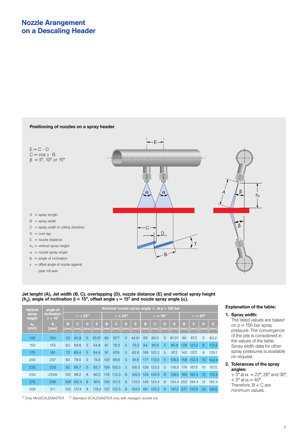## **Positioning of nozzles on a spray header**



### **Jet lenght (A), Jet width (B, C), overlapping (D), nozzle distance (E) and vertical spray height (h2), angle of inclination** β **= 15°, offset angle** γ **= 15° and nozzle spray angle (**α**).**

| <b>Vertical</b>        | angle of                                   | Nominal nozzle spray angle $\alpha$ at $p = 150$ bar |            |           |         |                       |            |         |         |                       |                     |           |            |                       |                 |           |           |
|------------------------|--------------------------------------------|------------------------------------------------------|------------|-----------|---------|-----------------------|------------|---------|---------|-----------------------|---------------------|-----------|------------|-----------------------|-----------------|-----------|-----------|
| spray<br>height        | <i>inclination</i><br>$\beta = 15^{\circ}$ | $\alpha = 22^{\circ}$                                |            |           |         | $\alpha = 26^{\circ}$ |            |         |         | $\alpha = 30^{\circ}$ |                     |           |            | $\alpha = 40^{\circ}$ |                 |           |           |
| h <sub>2</sub><br>[mm] | A<br>[mm]                                  | в<br>[mm]                                            | C.<br>[mm] | D<br>[mm] | Е<br>mm | в<br>[mm]             | C.<br>[mm] | D<br>mm | Ξ<br>mm | в<br>[mm]             | $\mathbf C$<br>[mm] | D<br>imml | E.<br>mm   | в<br><b>mm</b>        | C<br><b>mm</b>  | D<br>[mm] | Е<br>[mm] |
| 100                    | 104                                        | 42                                                   | 40.9       | 5         | 35.91   | 60                    | 57.7       | 5       | 44.91   | 69                    | 66.3                | 5         | $61.3^{2}$ | 90                    | 87.2            | 5         | 82.2      |
| 150                    | 155                                        | 62                                                   | 59.8       | 5         | 54.8    | 81                    | 78.3       | 5       | 73.3    | 94                    | 90.9                | 5         | 85.9       | 126                   | 121.2           | 8         | 113.2     |
| 175                    | 181                                        | 72                                                   | 69.4       | 5         | 64.4    | 91                    | 87.6       | 5       | 82.6    |                       | 106 102.2           | 5         | 97.2       | 142                   | 137.1           | 8         | 129.1     |
| 200                    | 207                                        | 82                                                   | 79.0       | 5         | 74.0    | 100 <sub>1</sub>      | 96.6       | 5       | 91.6    | 117                   | 113.0               | 5         | 108.0      | 158                   | 152.4           | 10        | 142.4     |
| 225                    | 233                                        | 92                                                   | 88.7       | 5         | 83.7    | 109                   | 105.5      | 5       | 100.5   |                       | 128 123.5           | 5         | 118.5      | 174                   | 167.5           | 10        | 157.5     |
| 250                    | 2559                                       | 102                                                  | 98.2       | 8         | 90.2    | 119                   | 114.3      | 8       | 109.3   |                       | 139 134.0           | 8         | 126.0      | 189                   | 182.4           | 12        | 170.4     |
| 270                    | 280                                        |                                                      | 109 105.4  | 8         | 97.4    | 126                   | 121.5      | 8       | 113.5   |                       | 148 124.4           | 8         |            |                       | 134.4 202 194.4 | 12        | 182.4     |
| 300                    | 311                                        | 132                                                  | 127.4      | 8         | 119.4   | 137                   | 132.5      | 8       | 124.5   | 161                   | 155.2               | 8         | 147.2      | 221                   | 212.5           | 15        | 197.5     |

 $1)$  Only MiniSCALEMASTER  $2)$  Standard SCALEMASTER only with hexagon socket nut

### **Explanation of the table:**

#### **1. Spray width:**

The listed values are based on  $p = 150$  bar spray pressure. The convergence of the jets is considered in the values of the table. Spray width data for other spray pressures is available on request.

## **2. Tolerances of the spray angles:**

 $+ 3^\circ$  at  $\alpha = 22^\circ$ , 26° and 30°,  $+ 5^{\circ}$  at  $\alpha = 40^{\circ}$ . Therefore,  $B + C$  are minimum values.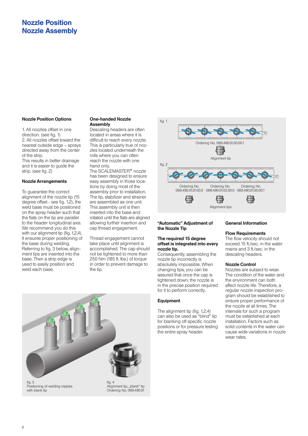## **Nozzle Position Nozzle Assembly**

#### **Nozzle Position Options**

1. All nozzles offset in one direction. (see fig. 1) 2. All nozzles offset toward the nearest outside edge – sprays directed away from the center of the strip.

This results in better drainage and it is easier to guide the strip. (see fig. 2)

#### **Nozzle Arrangements**

To guarantee the correct alignment of the nozzle tip (15 degree offset - see fig. 1,2), the weld base must be positioned on the spray header such that the flats on the tip are parallel to the header longitudinal axis. We recommend you do this with our alignment tip (fig. 1,2,4). It ensures proper positioning of the base during welding. Referring to fig. 3 below, alignment tips are inserted into the base. Then a strip edge is used to easily position and weld each base.

#### **One-handed Nozzle Assembly**

Descaling headers are often located in areas where it is difficult to reach every nozzle. This is particularly true of nozzles located underneath the rolls where you can often reach the nozzle with one hand only.

The SCALE MASTER**®** nozzle has been designed to ensure easy assembly in those locations by doing most of the assembly prior to installation. The tip, stabilizer and strainer are assembled as one unit. This assembly unit is then inserted into the base and rotated until the flats are aligned allowing further insertion and cap thread engagement.

Thread engagement cannot take place until alignment is accomplished. The cap should not be tightened to more than 250 Nm (185 ft. Ibs.) of torque in order to prevent damage to the tip.





### **"Automatic" Adjustment of the Nozzle Tip**

#### **The required 15 degree offset is integrated into every nozzle tip.**

Consequently, assembling the nozzle tip incorrectly is absolutely impossible. When changing tips, you can be assured that once the cap is tightened down, the nozzle is in the precise position required for it to perform correctly.

### **Equipment**

The alignment tip (fig. 1,2,4) can also be used as "blind" tip for blanking off specific nozzle positions or for pressure testing the entire spray header.

### **General Information**

### **Flow Requirements**

The flow velocity should not exceed 15 ft./sec. in the water mains and 3 ft./sec. in the descaling headers.

#### **Nozzle Control**

Nozzles are subject to wear. The condition of the water and the environment can both affect nozzle life. Therefore, a regular nozzle inspection program should be established to ensure proper performance of the nozzle at all times. The intervals for such a program must be established at each installation. Factors such as solid contents in the water can cause wide variations in nozzle wear rates.

6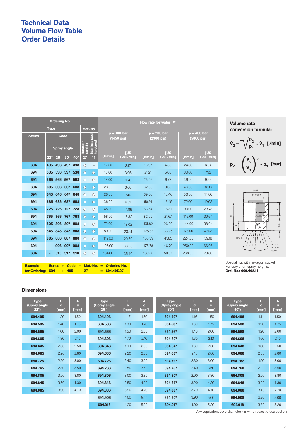# **Technical Data Volume Flow Table Order Details**

| <b>Ordering No.</b>     |                    |            |            |                     |            |                             | Flow rate for water (V) |                                       |            |                             |                                       |            |  |  |
|-------------------------|--------------------|------------|------------|---------------------|------------|-----------------------------|-------------------------|---------------------------------------|------------|-----------------------------|---------------------------------------|------------|--|--|
| <b>Type</b><br>Mat.-No. |                    |            |            |                     |            |                             |                         |                                       |            |                             |                                       |            |  |  |
| <b>Series</b>           | Code               |            |            |                     |            |                             |                         | $p = 100$ bar<br>$(1450 \text{ psi})$ |            | $p = 200$ bar<br>(2900 psi) | $p = 400$ bar<br>$(5800 \text{ psi})$ |            |  |  |
|                         |                    |            |            |                     |            | Stainless steel<br>hardened |                         |                                       |            |                             |                                       |            |  |  |
|                         | <b>Spray angle</b> |            |            | Tungsten<br>carbide |            | <b>TUS</b>                  |                         |                                       | <b>TUS</b> | <b>TUS</b>                  |                                       |            |  |  |
|                         | $22^{\circ}$       | $26^\circ$ | $30^\circ$ | $40^\circ$          | 27         | 11                          | [1/min]                 | Gall./min1                            | [1/min]    | Gall./min1                  | [1/min]                               | Gall./min] |  |  |
| 694                     | 495                | 496        | 497        | 498                 | $\bigcirc$ |                             | 12.00                   | 3.17                                  | 16.97      | 4.50                        | 24.00                                 | 6.34       |  |  |
| 694                     | 535                | 536        | 537        | 538                 | $\circ$    | О                           | 15.00                   | 3.96                                  | 21.21      | 5.60                        | 30.00                                 | 7.92       |  |  |
| 694                     | 565                | 566        | 567        | 568                 | $\bigcirc$ | $\bigcirc$                  | 18.00                   | 4.76                                  | 25.46      | 6.73                        | 36.00                                 | 9.52       |  |  |
| 694                     | 605                | 606        | 607        | 608                 | $\circ$    | O                           | 23.00                   | 6.08                                  | 32.53      | 9.39                        | 46.00                                 | 12.16      |  |  |
| 694                     | 645                | 646        | 647        | 648                 | $\circ$    | $\bigcirc$                  | 28.00                   | 7.40                                  | 39.60      | 10.46                       | 56.00                                 | 14.80      |  |  |
| 694                     | 685                | 686        | 687        | 688                 | $\circ$    | О                           | 36.00                   | 9.51                                  | 50.91      | 13.45                       | 72.00                                 | 19.02      |  |  |
| 694                     | 725                | 726        | 727        | 728                 | $\bigcirc$ | O                           | 45.00                   | 11.89                                 | 63.64      | 16.81                       | 90.00                                 | 23.78      |  |  |
| 694                     | 765                | 766        | 767        | 768                 | $\circ$    | Ω                           | 58.00                   | 15.32                                 | 82.02      | 21.67                       | 116.00                                | 30.64      |  |  |
| 694                     | 805                | 806        | 807        | 808                 | $\bigcirc$ | $\bigcirc$                  | 72.00                   | 19.02                                 | 101.82     | 26.90                       | 144.00                                | 38.04      |  |  |
| 694                     | 845                | 846        | 847        | 848                 | $\circ$    | О                           | 89.00                   | 23.51                                 | 125.87     | 33.25                       | 178.00                                | 47.02      |  |  |
| 694                     | 885                | 886        | 887        | 888                 | $\circ$    | O                           | 112.00                  | 29.59                                 | 158.39     | 41.85                       | 224.00                                | 59.18      |  |  |
| 694                     | ٠                  | 906        | 907        | 908                 | $\bigcirc$ | Ω                           | 125.00                  | 33.03                                 | 176.78     | 46.70                       | 250.00                                | 66.06      |  |  |
| 694                     | ٠                  | 916        | 917        | 918                 | $\circ$    | O                           | 134.00                  | 35.40                                 | 189.50     | 50.07                       | 268,00                                | 70.80      |  |  |

**Volume rate conversion formula:** 

$$
\dot{V}_2 = \sqrt{\frac{p_2}{p_1}} \cdot \dot{V}_1
$$
 [l/min]  

$$
p_2 = \left(\frac{\dot{V}_2}{\dot{V}_1}\right)^2 \cdot p_1
$$
 [bar]



Special nut with hexagon socket. For very short spray heights. **Ord.-No.: 069.402.11**

## **Dimensions**

**Example Series + Code + Mat.-No. = Ordering No. for Ordering:**  $694 + 495 + 27 = 694.495.27$ 

| <b>Type</b><br>(Spray angle<br>$22^{\circ}$ | Е<br>$\sigma$<br>[mm] | A<br>ø<br>[mm] | <b>Type</b><br>(Spray angle<br>$26^{\circ}$ | E<br>ø<br>[mm] | A<br>ø<br>[mm] | <b>Type</b><br>(Spray angle<br>$30^\circ$ | Е<br>ø<br>[mm] | A<br>ø<br>[mm] | <b>Type</b><br>(Spray angle<br>$40^{\circ}$ | E<br>ø<br>[mm] | $\mathbf{A}$<br>ø<br>[mm] |
|---------------------------------------------|-----------------------|----------------|---------------------------------------------|----------------|----------------|-------------------------------------------|----------------|----------------|---------------------------------------------|----------------|---------------------------|
| 694.495                                     | 1.20                  | 1.50           | 694.496                                     | 1.17           | 1.50           | 694.497                                   | 1.16           | 1.50           | 694.498                                     | 1.11           | 1.50                      |
| 694.535                                     | 1.40                  | 1.75           | 694.536                                     | 1.30           | 1.75           | 694.537                                   | 1.30           | 1.75           | 694.538                                     | 1.20           | 1.75                      |
| 694.565                                     | 1.60                  | 2.00           | 694.566                                     | 1.50           | 2.00           | 694.567                                   | 1.40           | 2.00           | 694.568                                     | 1.20           | 2.00                      |
| 694.605                                     | 1.80                  | 2.10           | 694,606                                     | 1.70           | 2.10           | 694.607                                   | 1.60           | 2.10           | 694,608                                     | 1.50           | 2.10                      |
| 694.645                                     | 2.00                  | 2.50           | 694.646                                     | 1.90           | 2.50           | 694.647                                   | 1.80           | 2.50           | 694.648                                     | 1.60           | 2.50                      |
| 694.685                                     | 2.20                  | 2.80           | 694.686                                     | 2.20           | 2.80           | 694.687                                   | 2.10           | 2.80           | 694.688                                     | 2.00           | 2.80                      |
| 694.725                                     | 2.50                  | 3.00           | 694.726                                     | 2.40           | 3.00           | 694.727                                   | 2.30           | 3.00           | 694.782                                     | 1.90           | 3.00                      |
| 694.765                                     | 2.80                  | 3.50           | 694.766                                     | 2.50           | 3.50           | 694.767                                   | 2.40           | 3.50           | 694.768                                     | 2.30           | 3.50                      |
| 694.805                                     | 3.20                  | 3.80           | 694.806                                     | 3.00           | 3.80           | 694.807                                   | 2.90           | 3.80           | 694.808                                     | 2.70           | 3.80                      |
| 694.845                                     | 3.50                  | 4.30           | 694.846                                     | 3.50           | 4.30           | 694.847                                   | 3.20           | 4.30           | 694.848                                     | 3.00           | 4.30                      |
| 694.885                                     | 3.90                  | 4.70           | 694.886                                     | 3.90           | 4.70           | 694.887                                   | 3.70           | 4.70           | 694.888                                     | 3.40           | 4.70                      |
|                                             |                       |                | 694.906                                     | 4.00           | 5.00           | 694.907                                   | 3.90           | 5.00           | 694.908                                     | 3.70           | 5.00                      |
|                                             |                       |                | 694.916                                     | 4.20           | 5.20           | 694.917                                   | 4.00           | 5.20           | 694.918                                     | 3.80           | 5.20                      |

 $A =$  equivalent bore diameter  $\cdot E =$  narrowest cross section